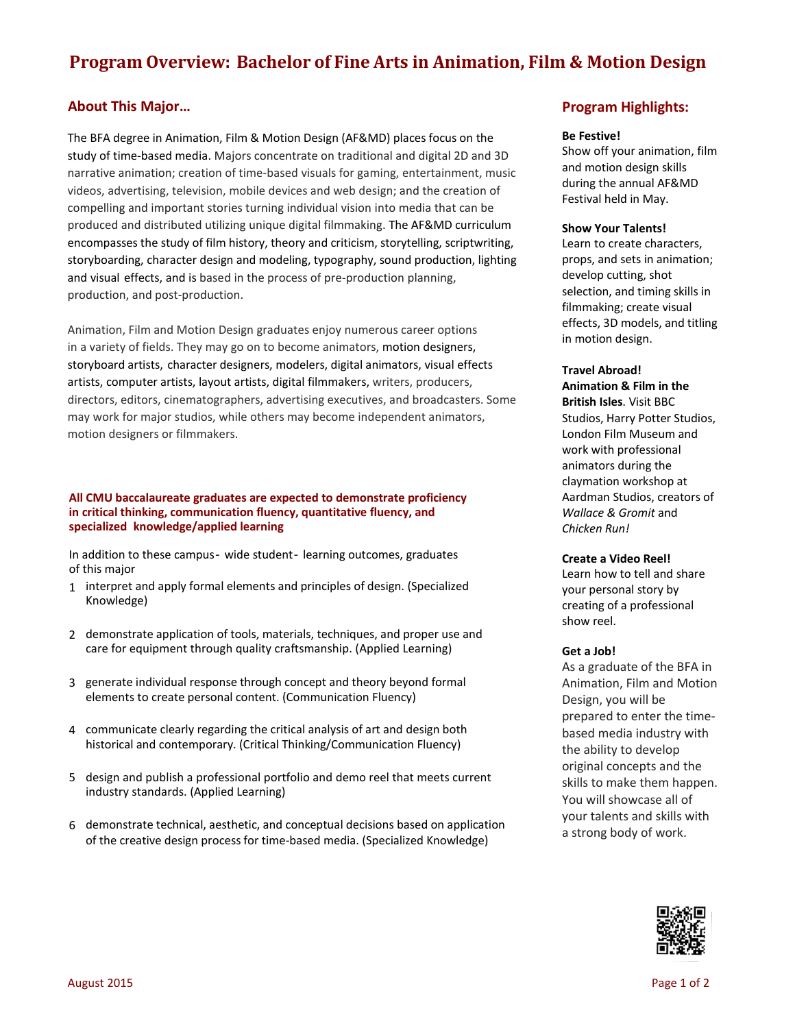# **Program Overview: Bachelor of Fine Arts in Animation, Film & Motion Design**

The BFA degree in Animation, Film & Motion Design (AF&MD) places focus on the study of time-based media. Majors concentrate on traditional and digital 2D and 3D narrative animation; creation of time-based visuals for gaming, entertainment, music videos, advertising, television, mobile devices and web design; and the creation of compelling and important stories turning individual vision into media that can be produced and distributed utilizing unique digital filmmaking. The AF&MD curriculum encompasses the study of film history, theory and criticism, storytelling, scriptwriting, storyboarding, character design and modeling, typography, sound production, lighting and visual effects, and is based in the process of pre-production planning, production, and post-production.

Animation, Film and Motion Design graduates enjoy numerous career options in a variety of fields. They may go on to become animators, motion designers, storyboard artists, character designers, modelers, digital animators, visual effects artists, computer artists, layout artists, digital filmmakers, writers, producers, directors, editors, cinematographers, advertising executives, and broadcasters. Some may work for major studios, while others may become independent animators, motion designers or filmmakers.

#### **All CMU baccalaureate graduates are expected to demonstrate proficiency in critical thinking, communication fluency, quantitative fluency, and specialized knowledge/applied learning**

In addition to these campus‐ wide student‐ learning outcomes, graduates of this major

- 1 interpret and apply formal elements and principles of design. (Specialized Knowledge)
- 2 demonstrate application of tools, materials, techniques, and proper use and care for equipment through quality craftsmanship. (Applied Learning)
- 3 generate individual response through concept and theory beyond formal elements to create personal content. (Communication Fluency)
- 4 communicate clearly regarding the critical analysis of art and design both historical and contemporary. (Critical Thinking/Communication Fluency)
- 5 design and publish a professional portfolio and demo reel that meets current industry standards. (Applied Learning)
- 6 demonstrate technical, aesthetic, and conceptual decisions based on application of the creative design process for time-based media. (Specialized Knowledge)

# **About This Major… Program Highlights:**

#### **Be Festive!**

Show off your animation, film and motion design skills during the annual AF&MD Festival held in May.

#### **Show Your Talents!**

Learn to create characters, props, and sets in animation; develop cutting, shot selection, and timing skills in filmmaking; create visual effects, 3D models, and titling in motion design.

# **Travel Abroad! Animation & Film in the**

**British Isles**. Visit BBC Studios, Harry Potter Studios, London Film Museum and work with professional animators during the claymation workshop at Aardman Studios, creators of *Wallace & Gromit* and *Chicken Run!*

### **Create a Video Reel!**

Learn how to tell and share your personal story by creating of a professional show reel.

#### **Get a Job!**

As a graduate of the BFA in Animation, Film and Motion Design, you will be prepared to enter the timebased media industry with the ability to develop original concepts and the skills to make them happen. You will showcase all of your talents and skills with a strong body of work.